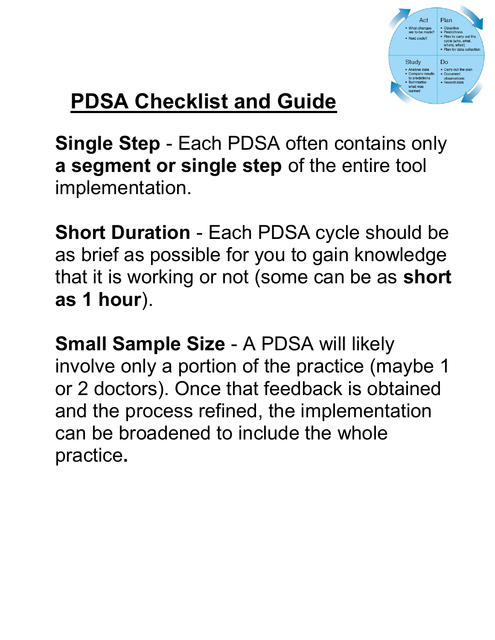

## PDSA Checklist and Guide

Single Step - Each PDSA often contains only a segment or single step of the entire tool implementation.

Short Duration - Each PDSA cycle should be as brief as possible for you to gain knowledge that it is working or not (some can be as short as 1 hour).

Small Sample Size - A PDSA will likely involve only a portion of the practice (maybe 1 or 2 doctors). Once that feedback is obtained and the process refined, the implementation can be broadened to include the whole practice.